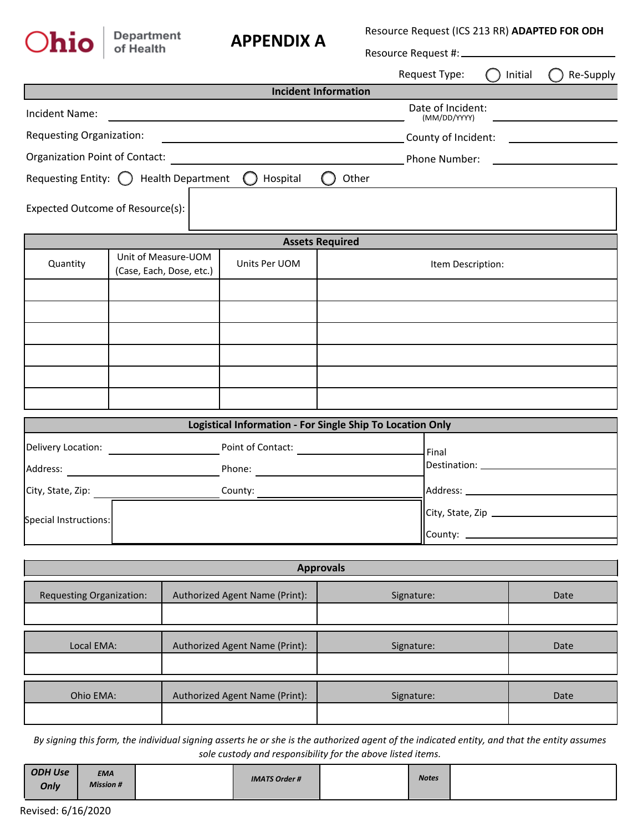| $\bigcap$ hio                   | Department<br>of Health                                          | <b>APPENDIX A</b>           |                        | Resource Request (ICS 213 RR) ADAPTED FOR ODH |         |           |  |  |
|---------------------------------|------------------------------------------------------------------|-----------------------------|------------------------|-----------------------------------------------|---------|-----------|--|--|
|                                 |                                                                  |                             |                        | Resource Request #: __________                |         |           |  |  |
|                                 |                                                                  |                             |                        | Request Type:                                 | Initial | Re-Supply |  |  |
|                                 |                                                                  | <b>Incident Information</b> |                        |                                               |         |           |  |  |
| Incident Name:                  |                                                                  |                             |                        | Date of Incident:<br>(MM/DD/YYYY)             |         |           |  |  |
| <b>Requesting Organization:</b> |                                                                  |                             |                        | County of Incident:                           |         |           |  |  |
| Organization Point of Contact:  |                                                                  |                             |                        | Phone Number:                                 |         |           |  |  |
| Requesting Entity: $\bigcirc$   | <b>Health Department</b>                                         | Hospital                    |                        | Other                                         |         |           |  |  |
|                                 | Expected Outcome of Resource(s):                                 |                             |                        |                                               |         |           |  |  |
|                                 |                                                                  |                             | <b>Assets Required</b> |                                               |         |           |  |  |
| Quantity                        | Unit of Measure-UOM<br>Units Per UOM<br>(Case, Each, Dose, etc.) |                             |                        | Item Description:                             |         |           |  |  |
|                                 |                                                                  |                             |                        |                                               |         |           |  |  |
|                                 |                                                                  |                             |                        |                                               |         |           |  |  |

| Logistical Information - For Single Ship To Location Only |                   |                               |  |  |  |  |
|-----------------------------------------------------------|-------------------|-------------------------------|--|--|--|--|
| Delivery Location:                                        | Point of Contact: | Final                         |  |  |  |  |
| Address:                                                  | Phone:            |                               |  |  |  |  |
| City, State, Zip:                                         | County:           | Address:                      |  |  |  |  |
| Special Instructions:                                     |                   | City, State, Zip<br>County: _ |  |  |  |  |

| <b>Approvals</b>                |                                |            |      |  |  |  |
|---------------------------------|--------------------------------|------------|------|--|--|--|
| <b>Requesting Organization:</b> | Authorized Agent Name (Print): | Signature: | Date |  |  |  |
| Local EMA:                      | Authorized Agent Name (Print): | Signature: | Date |  |  |  |
| Ohio EMA:                       | Authorized Agent Name (Print): | Signature: | Date |  |  |  |

*By signing this form, the individual signing asserts he or she is the authorized agent of the indicated entity, and that the entity assumes sole custody and responsibility for the above listed items.*

| <b>ODH Use</b><br><b>EMA</b><br><b>Mission #</b><br>Only | <b>IMATS Order #</b> | <b>Notes</b> |  |
|----------------------------------------------------------|----------------------|--------------|--|
|----------------------------------------------------------|----------------------|--------------|--|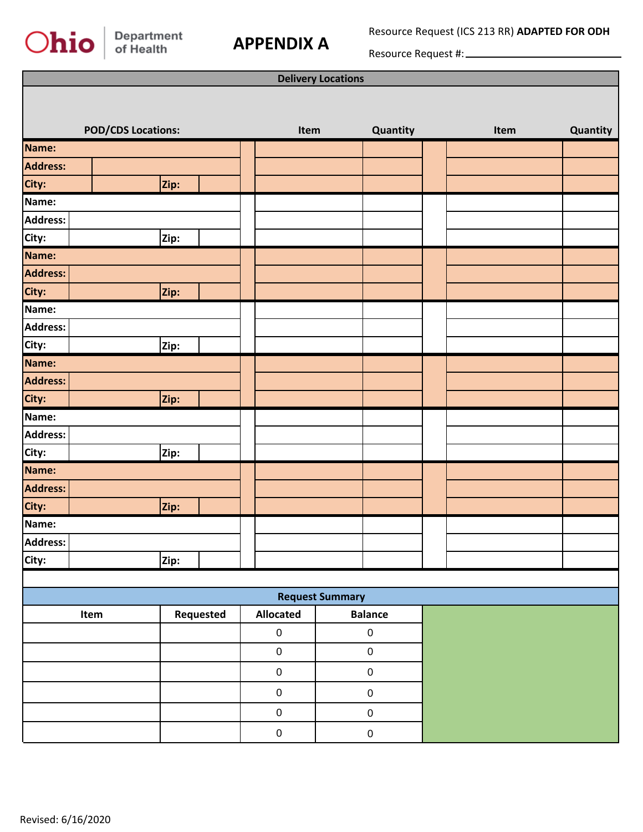## Ohio

## **APPENDIX A**

Resource Request (ICS 213 RR) **ADAPTED FOR ODH**

Resource Request #:

| <b>Delivery Locations</b> |                           |      |           |             |      |                |      |          |
|---------------------------|---------------------------|------|-----------|-------------|------|----------------|------|----------|
|                           |                           |      |           |             |      |                |      |          |
|                           | <b>POD/CDS Locations:</b> |      |           |             | Item | Quantity       | Item | Quantity |
| Name:                     |                           |      |           |             |      |                |      |          |
| <b>Address:</b>           |                           |      |           |             |      |                |      |          |
| City:                     |                           | Zip: |           |             |      |                |      |          |
| Name:                     |                           |      |           |             |      |                |      |          |
| <b>Address:</b>           |                           |      |           |             |      |                |      |          |
| City:                     |                           | Zip: |           |             |      |                |      |          |
| Name:                     |                           |      |           |             |      |                |      |          |
| <b>Address:</b>           |                           |      |           |             |      |                |      |          |
| City:                     |                           | Zip: |           |             |      |                |      |          |
| Name:                     |                           |      |           |             |      |                |      |          |
| <b>Address:</b>           |                           |      |           |             |      |                |      |          |
| City:                     |                           | Zip: |           |             |      |                |      |          |
| Name:                     |                           |      |           |             |      |                |      |          |
| <b>Address:</b>           |                           |      |           |             |      |                |      |          |
| City:                     |                           | Zip: |           |             |      |                |      |          |
| Name:                     |                           |      |           |             |      |                |      |          |
| <b>Address:</b>           |                           |      |           |             |      |                |      |          |
| City:                     |                           | Zip: |           |             |      |                |      |          |
| Name:                     |                           |      |           |             |      |                |      |          |
| <b>Address:</b>           |                           |      |           |             |      |                |      |          |
| City:                     |                           | Zip: |           |             |      |                |      |          |
| Name:                     |                           |      |           |             |      |                |      |          |
| Address:                  |                           |      |           |             |      |                |      |          |
| City:                     |                           | Zip: |           |             |      |                |      |          |
|                           |                           |      |           |             |      |                |      |          |
| <b>Request Summary</b>    |                           |      |           |             |      |                |      |          |
|                           | Item                      |      | Requested | Allocated   |      | <b>Balance</b> |      |          |
|                           |                           |      |           | $\mathbf 0$ |      | $\pmb{0}$      |      |          |
|                           |                           |      |           | $\mathbf 0$ |      | $\pmb{0}$      |      |          |
|                           |                           |      |           | $\mathbf 0$ |      | $\pmb{0}$      |      |          |
|                           |                           |      |           | $\mathbf 0$ |      | $\pmb{0}$      |      |          |
|                           |                           |      |           | $\mathbf 0$ |      | $\pmb{0}$      |      |          |
|                           |                           |      |           | $\mathbf 0$ |      | $\pmb{0}$      |      |          |